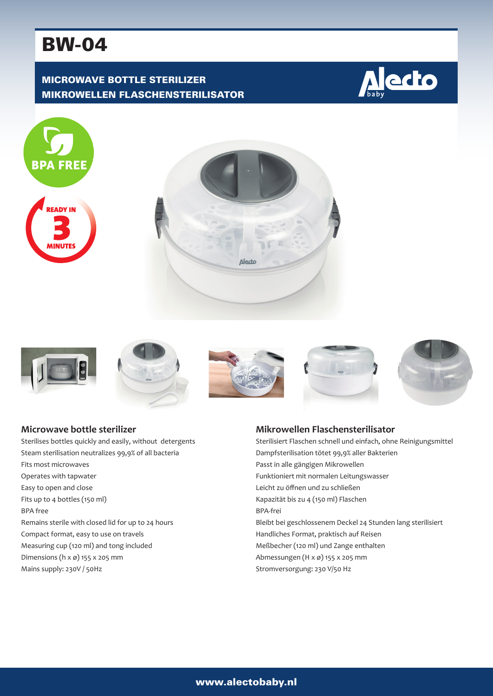# BW-04

## MICROWAVE BOTTLE STERILIZER MIKROWELLEN FLASCHENSTERILISATOR

















## **Microwave bottle sterilizer**

Sterilises bottles quickly and easily, without detergents Steam sterilisation neutralizes 99,9% of all bacteria Fits most microwaves Operates with tapwater Easy to open and close Fits up to 4 bottles (150 ml) BPA free Remains sterile with closed lid for up to 24 hours Compact format, easy to use on travels Measuring cup (120 ml) and tong included Dimensions (h x ø) 155 x 205 mm Mains supply: 230V / 50Hz

### **Mikrowellen Flaschensterilisator**

Sterilisiert Flaschen schnell und einfach, ohne Reinigungsmittel Dampfsterilisation tötet 99,9% aller Bakterien Passt in alle gängigen Mikrowellen Funktioniert mit normalen Leitungswasser Leicht zu öffnen und zu schließen Kapazität bis zu 4 (150 ml) Flaschen BPA-frei Bleibt bei geschlossenem Deckel 24 Stunden lang sterilisiert Handliches Format, praktisch auf Reisen Meßbecher (120 ml) und Zange enthalten Abmessungen (H x ø) 155 x 205 mm Stromversorgung: 230 V/50 Hz